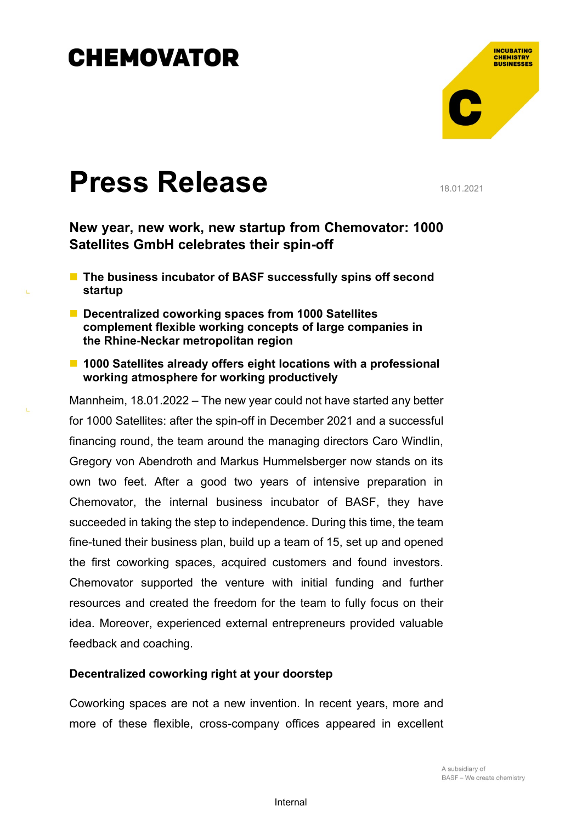

# **Press Release**

18.01.2021

**New year, new work, new startup from Chemovator: 1000 Satellites GmbH celebrates their spin-off**

- The business incubator of BASF successfully spins off second **startup**
- Decentralized coworking spaces from 1000 Satellites **complement flexible working concepts of large companies in the Rhine-Neckar metropolitan region**
- 1000 Satellites already offers eight locations with a professional **working atmosphere for working productively**

Mannheim, 18.01.2022 – The new year could not have started any better for 1000 Satellites: after the spin-off in December 2021 and a successful financing round, the team around the managing directors Caro Windlin, Gregory von Abendroth and Markus Hummelsberger now stands on its own two feet. After a good two years of intensive preparation in Chemovator, the internal business incubator of BASF, they have succeeded in taking the step to independence. During this time, the team fine-tuned their business plan, build up a team of 15, set up and opened the first coworking spaces, acquired customers and found investors. Chemovator supported the venture with initial funding and further resources and created the freedom for the team to fully focus on their idea. Moreover, experienced external entrepreneurs provided valuable feedback and coaching.

#### **Decentralized coworking right at your doorstep**

Coworking spaces are not a new invention. In recent years, more and more of these flexible, cross-company offices appeared in excellent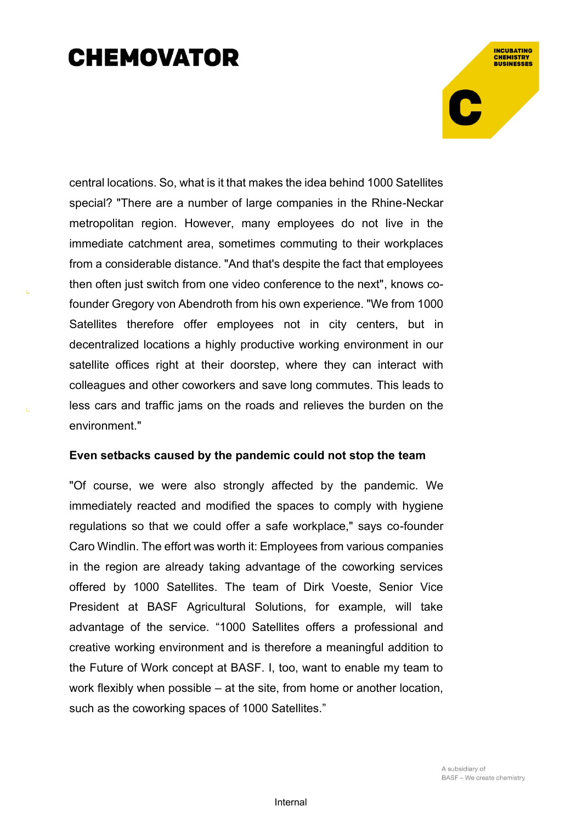**INCUBATING CHEMISTRY**<br>BUSINESSES

central locations. So, what is it that makes the idea behind 1000 Satellites special? "There are a number of large companies in the Rhine-Neckar metropolitan region. However, many employees do not live in the immediate catchment area, sometimes commuting to their workplaces from a considerable distance. "And that's despite the fact that employees then often just switch from one video conference to the next", knows cofounder Gregory von Abendroth from his own experience. "We from 1000 Satellites therefore offer employees not in city centers, but in decentralized locations a highly productive working environment in our satellite offices right at their doorstep, where they can interact with colleagues and other coworkers and save long commutes. This leads to less cars and traffic jams on the roads and relieves the burden on the environment."

#### **Even setbacks caused by the pandemic could not stop the team**

"Of course, we were also strongly affected by the pandemic. We immediately reacted and modified the spaces to comply with hygiene regulations so that we could offer a safe workplace," says co-founder Caro Windlin. The effort was worth it: Employees from various companies in the region are already taking advantage of the coworking services offered by 1000 Satellites. The team of Dirk Voeste, Senior Vice President at BASF Agricultural Solutions, for example, will take advantage of the service. "1000 Satellites offers a professional and creative working environment and is therefore a meaningful addition to the Future of Work concept at BASF. I, too, want to enable my team to work flexibly when possible – at the site, from home or another location, such as the coworking spaces of 1000 Satellites."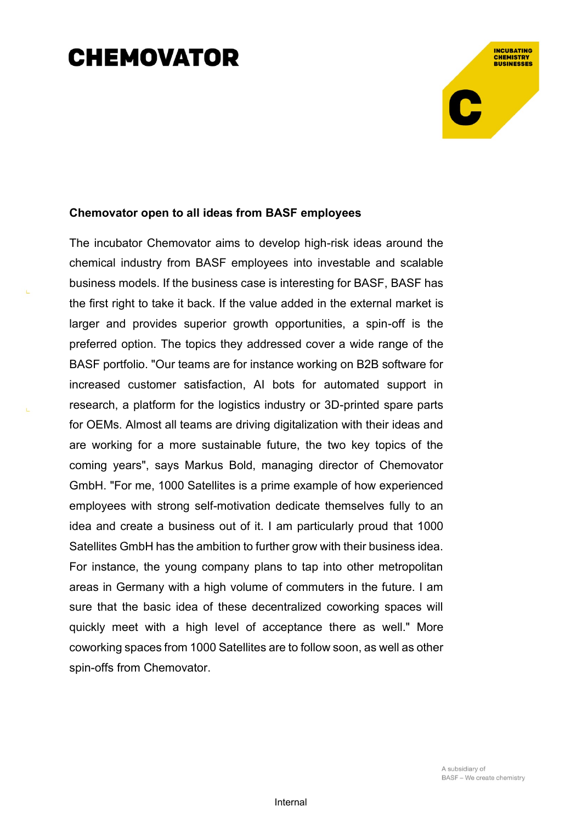### **Chemovator open to all ideas from BASF employees**

The incubator Chemovator aims to develop high-risk ideas around the chemical industry from BASF employees into investable and scalable business models. If the business case is interesting for BASF, BASF has the first right to take it back. If the value added in the external market is larger and provides superior growth opportunities, a spin-off is the preferred option. The topics they addressed cover a wide range of the BASF portfolio. "Our teams are for instance working on B2B software for increased customer satisfaction, AI bots for automated support in research, a platform for the logistics industry or 3D-printed spare parts for OEMs. Almost all teams are driving digitalization with their ideas and are working for a more sustainable future, the two key topics of the coming years", says Markus Bold, managing director of Chemovator GmbH. "For me, 1000 Satellites is a prime example of how experienced employees with strong self-motivation dedicate themselves fully to an idea and create a business out of it. I am particularly proud that 1000 Satellites GmbH has the ambition to further grow with their business idea. For instance, the young company plans to tap into other metropolitan areas in Germany with a high volume of commuters in the future. I am sure that the basic idea of these decentralized coworking spaces will quickly meet with a high level of acceptance there as well." More coworking spaces from 1000 Satellites are to follow soon, as well as other spin-offs from Chemovator.

**INCUBATING** 

**CHEMISTRY**<br>BUSINESSES